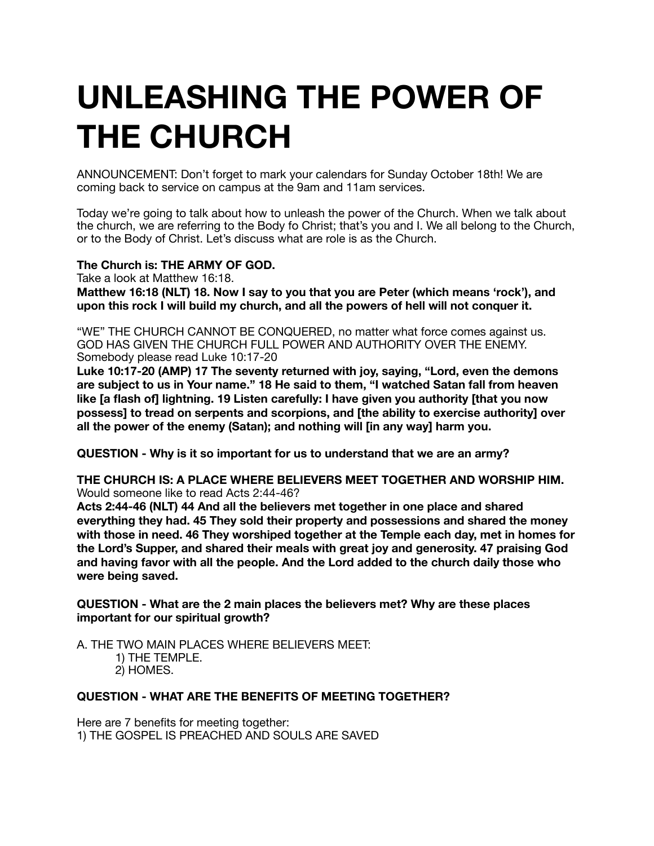# **UNLEASHING THE POWER OF THE CHURCH**

ANNOUNCEMENT: Don't forget to mark your calendars for Sunday October 18th! We are coming back to service on campus at the 9am and 11am services.

Today we're going to talk about how to unleash the power of the Church. When we talk about the church, we are referring to the Body fo Christ; that's you and I. We all belong to the Church, or to the Body of Christ. Let's discuss what are role is as the Church.

**The Church is: THE ARMY OF GOD.** 

Take a look at Matthew 16:18.

**Matthew 16:18 (NLT) 18. Now I say to you that you are Peter (which means 'rock'), and upon this rock I will build my church, and all the powers of hell will not conquer it.**

"WE" THE CHURCH CANNOT BE CONQUERED, no matter what force comes against us. GOD HAS GIVEN THE CHURCH FULL POWER AND AUTHORITY OVER THE ENEMY. Somebody please read Luke 10:17-20

**Luke 10:17-20 (AMP) 17 The seventy returned with joy, saying, "Lord, even the demons are subject to us in Your name." 18 He said to them, "I watched Satan fall from heaven like [a flash of] lightning. 19 Listen carefully: I have given you authority [that you now possess] to tread on serpents and scorpions, and [the ability to exercise authority] over all the power of the enemy (Satan); and nothing will [in any way] harm you.** 

**QUESTION - Why is it so important for us to understand that we are an army?** 

**THE CHURCH IS: A PLACE WHERE BELIEVERS MEET TOGETHER AND WORSHIP HIM.** Would someone like to read Acts 2:44-46?

**Acts 2:44-46 (NLT) 44 And all the believers met together in one place and shared everything they had. 45 They sold their property and possessions and shared the money with those in need. 46 They worshiped together at the Temple each day, met in homes for the Lord's Supper, and shared their meals with great joy and generosity. 47 praising God and having favor with all the people. And the Lord added to the church daily those who were being saved.** 

**QUESTION - What are the 2 main places the believers met? Why are these places important for our spiritual growth?** 

A. THE TWO MAIN PLACES WHERE BELIEVERS MEET:

1) THE TEMPLE. 2) HOMES.

# **QUESTION - WHAT ARE THE BENEFITS OF MEETING TOGETHER?**

Here are 7 benefits for meeting together: 1) THE GOSPEL IS PREACHED AND SOULS ARE SAVED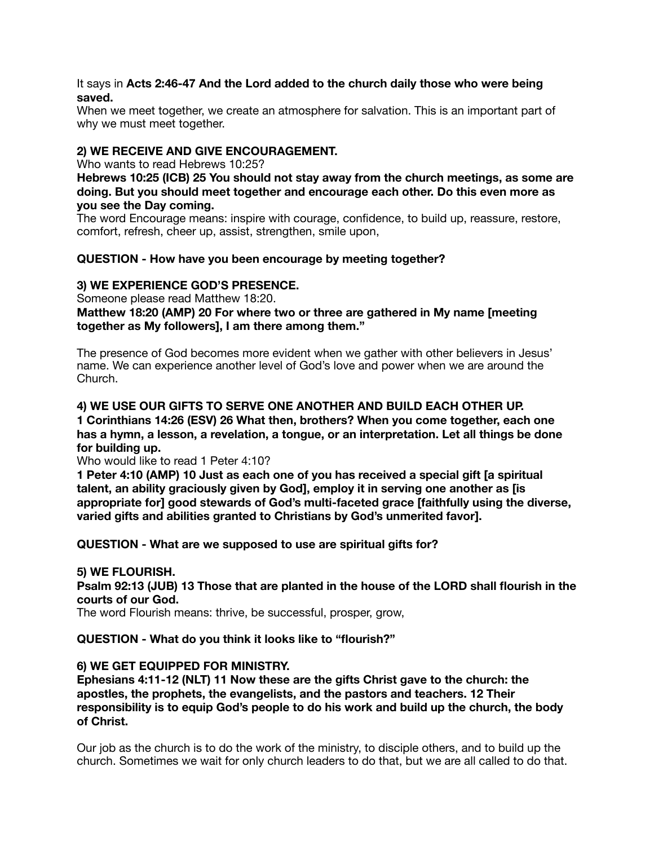#### It says in **Acts 2:46-47 And the Lord added to the church daily those who were being saved.**

When we meet together, we create an atmosphere for salvation. This is an important part of why we must meet together.

## **2) WE RECEIVE AND GIVE ENCOURAGEMENT.**

Who wants to read Hebrews 10:25?

**Hebrews 10:25 (ICB) 25 You should not stay away from the church meetings, as some are doing. But you should meet together and encourage each other. Do this even more as you see the Day coming.** 

The word Encourage means: inspire with courage, confidence, to build up, reassure, restore, comfort, refresh, cheer up, assist, strengthen, smile upon,

## **QUESTION - How have you been encourage by meeting together?**

## **3) WE EXPERIENCE GOD'S PRESENCE.**

Someone please read Matthew 18:20.

**Matthew 18:20 (AMP) 20 For where two or three are gathered in My name [meeting together as My followers], I am there among them."** 

The presence of God becomes more evident when we gather with other believers in Jesus' name. We can experience another level of God's love and power when we are around the Church.

## **4) WE USE OUR GIFTS TO SERVE ONE ANOTHER AND BUILD EACH OTHER UP.**

**1 Corinthians 14:26 (ESV) 26 What then, brothers? When you come together, each one has a hymn, a lesson, a revelation, a tongue, or an interpretation. Let all things be done for building up.** 

Who would like to read 1 Peter 4:10?

**1 Peter 4:10 (AMP) 10 Just as each one of you has received a special gift [a spiritual talent, an ability graciously given by God], employ it in serving one another as [is appropriate for] good stewards of God's multi-faceted grace [faithfully using the diverse, varied gifts and abilities granted to Christians by God's unmerited favor].** 

**QUESTION - What are we supposed to use are spiritual gifts for?** 

#### **5) WE FLOURISH.**

**Psalm 92:13 (JUB) 13 Those that are planted in the house of the LORD shall flourish in the courts of our God.** 

The word Flourish means: thrive, be successful, prosper, grow,

**QUESTION - What do you think it looks like to "flourish?"** 

# **6) WE GET EQUIPPED FOR MINISTRY.**

**Ephesians 4:11-12 (NLT) 11 Now these are the gifts Christ gave to the church: the apostles, the prophets, the evangelists, and the pastors and teachers. 12 Their responsibility is to equip God's people to do his work and build up the church, the body of Christ.** 

Our job as the church is to do the work of the ministry, to disciple others, and to build up the church. Sometimes we wait for only church leaders to do that, but we are all called to do that.